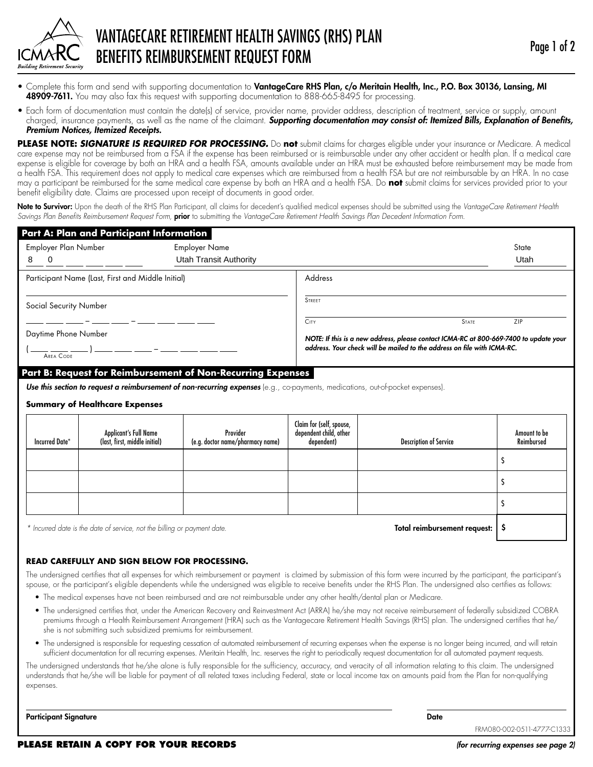

- Complete this form and send with supporting documentation to VantageCare RHS Plan, c/o Meritain Health, Inc., P.O. Box 30136, Lansing, MI 48909-7611. You may also fax this request with supporting documentation to 888-665-8495 for processing.
- Each form of documentation must contain the date(s) of service, provider name, provider address, description of treatment, service or supply, amount charged, insurance payments, as well as the name of the claimant. *Supporting documentation may consist of: Itemized Bills, Explanation of Benefits, Premium Notices, Itemized Receipts.*

**PLEASE NOTE:** *SIGNATURE IS REQUIRED FOR PROCESSING.* Do **not** submit claims for charges eligible under your insurance or Medicare. A medical care expense may not be reimbursed from a FSA if the expense has been reimbursed or is reimbursable under any other accident or health plan. If a medical care expense is eligible for coverage by both an HRA and a health FSA, amounts available under an HRA must be exhausted before reimbursement may be made from a health FSA. This requirement does not apply to medical care expenses which are reimbursed from a health FSA but are not reimbursable by an HRA. In no case may a participant be reimbursed for the same medical care expense by both an HRA and a health FSA. Do **not** submit claims for services provided prior to your benefit eligibility date. Claims are processed upon receipt of documents in good order.

Note to Survivor: Upon the death of the RHS Plan Participant, all claims for decedent's qualified medical expenses should be submitted using the VantageCare Retirement Health *Savings Plan Benefits Reimbursement Request Form,* prior to submitting the *VantageCare Retirement Health Savings Plan Decedent Information Form.*

| Address<br>Participant Name (Last, First and Middle Initial)<br><b>STREET</b><br>Social Security Number<br><b>CITY</b><br><b>STATE</b><br>ZIP<br>Daytime Phone Number<br>NOTE: If this is a new address, please contact ICMA-RC at 800-669-7400 to update your<br>address. Your check will be mailed to the address on file with ICMA-RC.<br>AREA CODE<br>Part B: Request for Reimbursement of Non-Recurring Expenses<br>Use this section to request a reimbursement of non-recurring expenses (e.g., co-payments, medications, out-of-pocket expenses).<br><b>Summary of Healthcare Expenses</b><br>Claim for (self, spouse,<br>Provider<br>dependent child, other<br><b>Applicant's Full Name</b><br>Amount to be | Employer Plan Number<br>8<br>0 |                               | <b>Employer Name</b><br><b>Utah Transit Authority</b> |            |                               | State<br>Utah |
|---------------------------------------------------------------------------------------------------------------------------------------------------------------------------------------------------------------------------------------------------------------------------------------------------------------------------------------------------------------------------------------------------------------------------------------------------------------------------------------------------------------------------------------------------------------------------------------------------------------------------------------------------------------------------------------------------------------------|--------------------------------|-------------------------------|-------------------------------------------------------|------------|-------------------------------|---------------|
|                                                                                                                                                                                                                                                                                                                                                                                                                                                                                                                                                                                                                                                                                                                     |                                |                               |                                                       |            |                               |               |
|                                                                                                                                                                                                                                                                                                                                                                                                                                                                                                                                                                                                                                                                                                                     |                                |                               |                                                       |            |                               |               |
|                                                                                                                                                                                                                                                                                                                                                                                                                                                                                                                                                                                                                                                                                                                     |                                |                               |                                                       |            |                               |               |
|                                                                                                                                                                                                                                                                                                                                                                                                                                                                                                                                                                                                                                                                                                                     |                                |                               |                                                       |            |                               |               |
|                                                                                                                                                                                                                                                                                                                                                                                                                                                                                                                                                                                                                                                                                                                     |                                |                               |                                                       |            |                               |               |
|                                                                                                                                                                                                                                                                                                                                                                                                                                                                                                                                                                                                                                                                                                                     | Incurred Date*                 | (last, first, middle initial) | (e.g. doctor name/pharmacy name)                      | dependent) | <b>Description of Service</b> | Reimbursed    |
|                                                                                                                                                                                                                                                                                                                                                                                                                                                                                                                                                                                                                                                                                                                     |                                |                               |                                                       |            |                               | S             |
| S                                                                                                                                                                                                                                                                                                                                                                                                                                                                                                                                                                                                                                                                                                                   |                                |                               |                                                       |            |                               |               |

*Incurred date is the date of service, not the billing or payment date.* The service of the billing or payment date.

## **READ CAREFULLY AND SIGN BELOW FOR PROCESSING.**

The undersigned certifies that all expenses for which reimbursement or payment is claimed by submission of this form were incurred by the participant, the participant's spouse, or the participant's eligible dependents while the undersigned was eligible to receive benefits under the RHS Plan. The undersigned also certifies as follows:

- The medical expenses have not been reimbursed and are not reimbursable under any other health/dental plan or Medicare.
- • The undersigned certifies that, under the American Recovery and Reinvestment Act (ARRA) he/she may not receive reimbursement of federally subsidized COBRA premiums through a Health Reimbursement Arrangement (HRA) such as the Vantagecare Retirement Health Savings (RHS) plan. The undersigned certifies that he/ she is not submitting such subsidized premiums for reimbursement.
- The undersigned is responsible for requesting cessation of automated reimbursement of recurring expenses when the expense is no longer being incurred, and will retain sufficient documentation for all recurring expenses. Meritain Health, Inc. reserves the right to periodically request documentation for all automated payment requests.

The undersigned understands that he/she alone is fully responsible for the sufficiency, accuracy, and veracity of all information relating to this claim. The undersigned understands that he/she will be liable for payment of all related taxes including Federal, state or local income tax on amounts paid from the Plan for non-qualifying expenses.

Participant Signature Date of the Contract of the Contract of the Contract of the Contract of the Date of the Date of the Date of the Date of the Date of the Date of the Date of the Date of the Date of the Date of the Date

FRM080-002-0511-4777-C1333